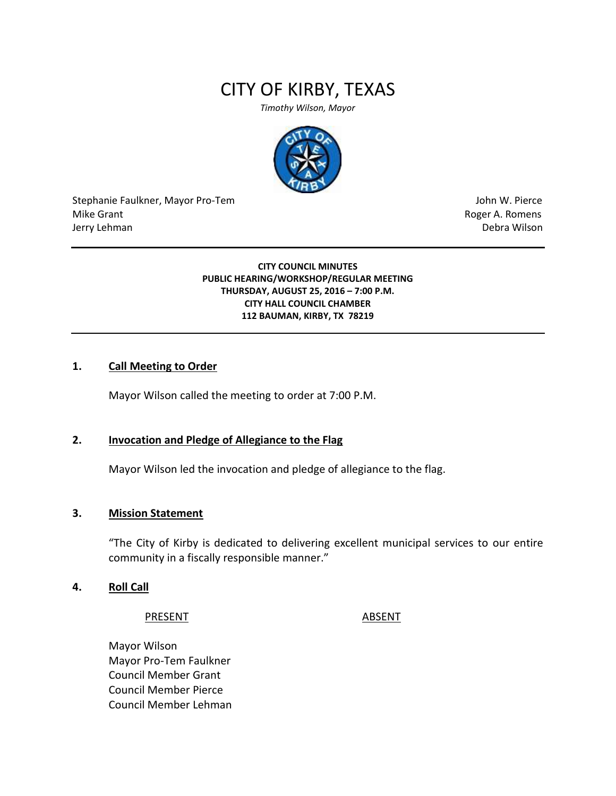# CITY OF KIRBY, TEXAS

*Timothy Wilson, Mayor*



Stephanie Faulkner, Mayor Pro-Tem John W. Pierce Mike Grant **Mike Grant** Roger A. Romens **Contract A. Romens Roger A. Romens** Jerry Lehman Debra Wilson

#### **CITY COUNCIL MINUTES PUBLIC HEARING/WORKSHOP/REGULAR MEETING THURSDAY, AUGUST 25, 2016 – 7:00 P.M. CITY HALL COUNCIL CHAMBER 112 BAUMAN, KIRBY, TX 78219**

#### **1. Call Meeting to Order**

Mayor Wilson called the meeting to order at 7:00 P.M.

### **2. Invocation and Pledge of Allegiance to the Flag**

Mayor Wilson led the invocation and pledge of allegiance to the flag.

#### **3. Mission Statement**

"The City of Kirby is dedicated to delivering excellent municipal services to our entire community in a fiscally responsible manner."

#### **4. Roll Call**

#### PRESENT ABSENT

Mayor Wilson Mayor Pro-Tem Faulkner Council Member Grant Council Member Pierce Council Member Lehman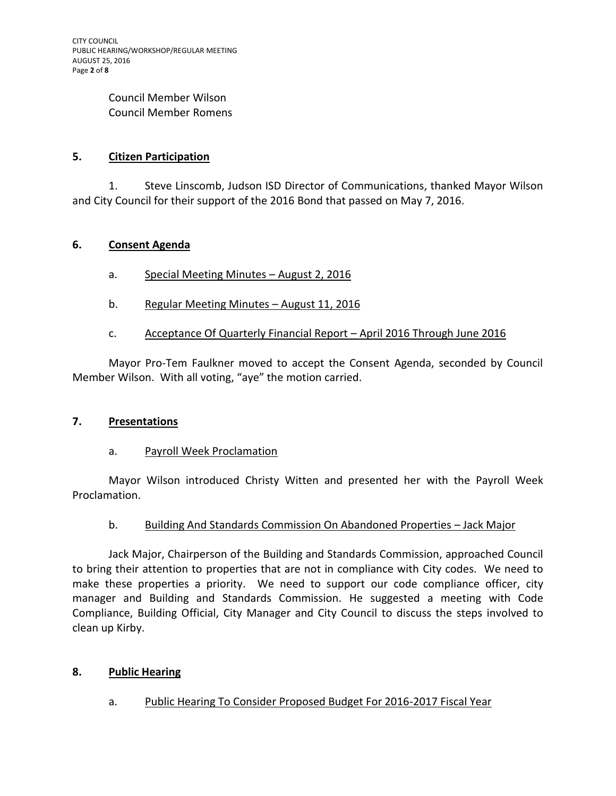#### Council Member Wilson Council Member Romens

# **5. Citizen Participation**

1. Steve Linscomb, Judson ISD Director of Communications, thanked Mayor Wilson and City Council for their support of the 2016 Bond that passed on May 7, 2016.

### **6. Consent Agenda**

- a. Special Meeting Minutes August 2, 2016
- b. Regular Meeting Minutes August 11, 2016

# c. Acceptance Of Quarterly Financial Report – April 2016 Through June 2016

Mayor Pro-Tem Faulkner moved to accept the Consent Agenda, seconded by Council Member Wilson. With all voting, "aye" the motion carried.

#### **7. Presentations**

# a. Payroll Week Proclamation

Mayor Wilson introduced Christy Witten and presented her with the Payroll Week Proclamation.

# b. Building And Standards Commission On Abandoned Properties – Jack Major

Jack Major, Chairperson of the Building and Standards Commission, approached Council to bring their attention to properties that are not in compliance with City codes. We need to make these properties a priority. We need to support our code compliance officer, city manager and Building and Standards Commission. He suggested a meeting with Code Compliance, Building Official, City Manager and City Council to discuss the steps involved to clean up Kirby.

# **8. Public Hearing**

# a. Public Hearing To Consider Proposed Budget For 2016-2017 Fiscal Year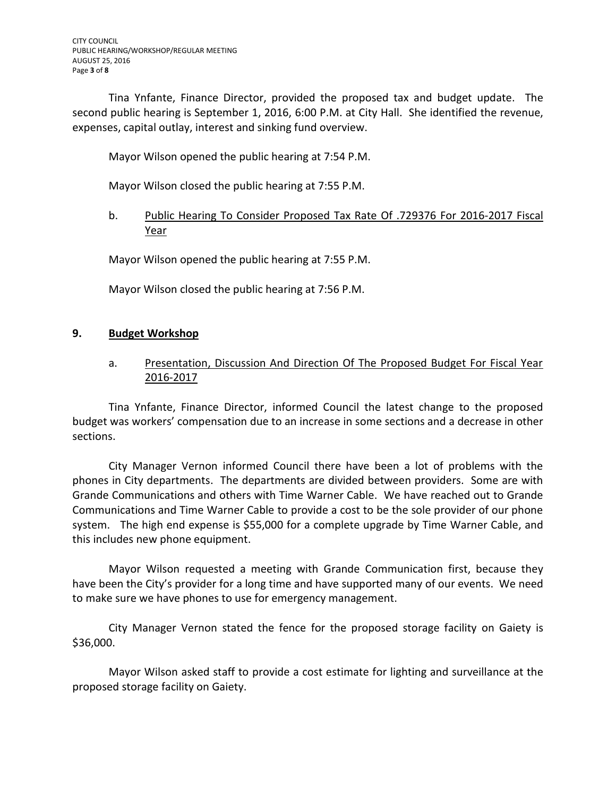Tina Ynfante, Finance Director, provided the proposed tax and budget update. The second public hearing is September 1, 2016, 6:00 P.M. at City Hall. She identified the revenue, expenses, capital outlay, interest and sinking fund overview.

Mayor Wilson opened the public hearing at 7:54 P.M.

Mayor Wilson closed the public hearing at 7:55 P.M.

# b. Public Hearing To Consider Proposed Tax Rate Of .729376 For 2016-2017 Fiscal Year

Mayor Wilson opened the public hearing at 7:55 P.M.

Mayor Wilson closed the public hearing at 7:56 P.M.

#### **9. Budget Workshop**

a. Presentation, Discussion And Direction Of The Proposed Budget For Fiscal Year 2016-2017

Tina Ynfante, Finance Director, informed Council the latest change to the proposed budget was workers' compensation due to an increase in some sections and a decrease in other sections.

City Manager Vernon informed Council there have been a lot of problems with the phones in City departments. The departments are divided between providers. Some are with Grande Communications and others with Time Warner Cable. We have reached out to Grande Communications and Time Warner Cable to provide a cost to be the sole provider of our phone system. The high end expense is \$55,000 for a complete upgrade by Time Warner Cable, and this includes new phone equipment.

Mayor Wilson requested a meeting with Grande Communication first, because they have been the City's provider for a long time and have supported many of our events. We need to make sure we have phones to use for emergency management.

City Manager Vernon stated the fence for the proposed storage facility on Gaiety is \$36,000.

Mayor Wilson asked staff to provide a cost estimate for lighting and surveillance at the proposed storage facility on Gaiety.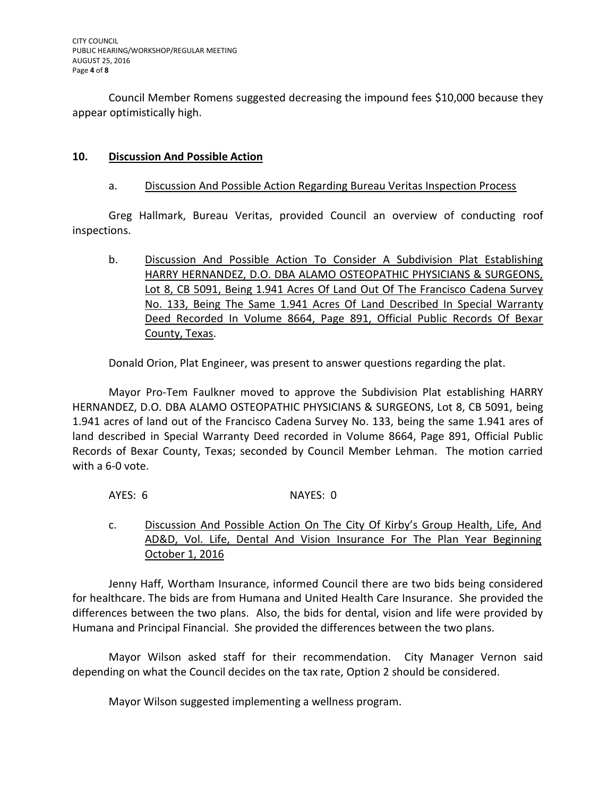Council Member Romens suggested decreasing the impound fees \$10,000 because they appear optimistically high.

### **10. Discussion And Possible Action**

#### a. Discussion And Possible Action Regarding Bureau Veritas Inspection Process

Greg Hallmark, Bureau Veritas, provided Council an overview of conducting roof inspections.

b. Discussion And Possible Action To Consider A Subdivision Plat Establishing HARRY HERNANDEZ, D.O. DBA ALAMO OSTEOPATHIC PHYSICIANS & SURGEONS, Lot 8, CB 5091, Being 1.941 Acres Of Land Out Of The Francisco Cadena Survey No. 133, Being The Same 1.941 Acres Of Land Described In Special Warranty Deed Recorded In Volume 8664, Page 891, Official Public Records Of Bexar County, Texas.

Donald Orion, Plat Engineer, was present to answer questions regarding the plat.

Mayor Pro-Tem Faulkner moved to approve the Subdivision Plat establishing HARRY HERNANDEZ, D.O. DBA ALAMO OSTEOPATHIC PHYSICIANS & SURGEONS, Lot 8, CB 5091, being 1.941 acres of land out of the Francisco Cadena Survey No. 133, being the same 1.941 ares of land described in Special Warranty Deed recorded in Volume 8664, Page 891, Official Public Records of Bexar County, Texas; seconded by Council Member Lehman. The motion carried with a 6-0 vote.

AYES: 6 NAYES: 0

c. Discussion And Possible Action On The City Of Kirby's Group Health, Life, And AD&D, Vol. Life, Dental And Vision Insurance For The Plan Year Beginning October 1, 2016

Jenny Haff, Wortham Insurance, informed Council there are two bids being considered for healthcare. The bids are from Humana and United Health Care Insurance. She provided the differences between the two plans. Also, the bids for dental, vision and life were provided by Humana and Principal Financial. She provided the differences between the two plans.

Mayor Wilson asked staff for their recommendation. City Manager Vernon said depending on what the Council decides on the tax rate, Option 2 should be considered.

Mayor Wilson suggested implementing a wellness program.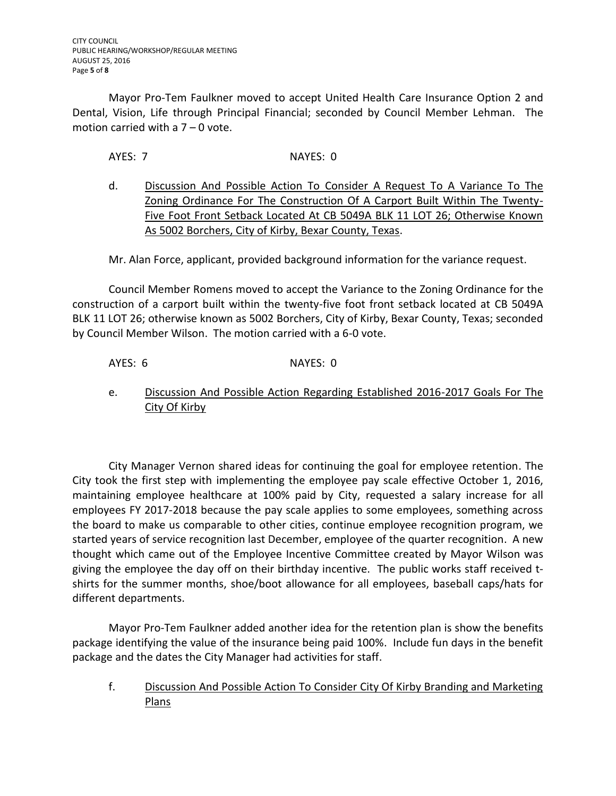Mayor Pro-Tem Faulkner moved to accept United Health Care Insurance Option 2 and Dental, Vision, Life through Principal Financial; seconded by Council Member Lehman. The motion carried with a 7 – 0 vote.

AYES: 7 NAYES: 0

d. Discussion And Possible Action To Consider A Request To A Variance To The Zoning Ordinance For The Construction Of A Carport Built Within The Twenty-Five Foot Front Setback Located At CB 5049A BLK 11 LOT 26; Otherwise Known As 5002 Borchers, City of Kirby, Bexar County, Texas.

Mr. Alan Force, applicant, provided background information for the variance request.

Council Member Romens moved to accept the Variance to the Zoning Ordinance for the construction of a carport built within the twenty-five foot front setback located at CB 5049A BLK 11 LOT 26; otherwise known as 5002 Borchers, City of Kirby, Bexar County, Texas; seconded by Council Member Wilson. The motion carried with a 6-0 vote.

# AYES: 6 NAYES: 0

e. Discussion And Possible Action Regarding Established 2016-2017 Goals For The City Of Kirby

City Manager Vernon shared ideas for continuing the goal for employee retention. The City took the first step with implementing the employee pay scale effective October 1, 2016, maintaining employee healthcare at 100% paid by City, requested a salary increase for all employees FY 2017-2018 because the pay scale applies to some employees, something across the board to make us comparable to other cities, continue employee recognition program, we started years of service recognition last December, employee of the quarter recognition. A new thought which came out of the Employee Incentive Committee created by Mayor Wilson was giving the employee the day off on their birthday incentive. The public works staff received tshirts for the summer months, shoe/boot allowance for all employees, baseball caps/hats for different departments.

Mayor Pro-Tem Faulkner added another idea for the retention plan is show the benefits package identifying the value of the insurance being paid 100%. Include fun days in the benefit package and the dates the City Manager had activities for staff.

f. Discussion And Possible Action To Consider City Of Kirby Branding and Marketing Plans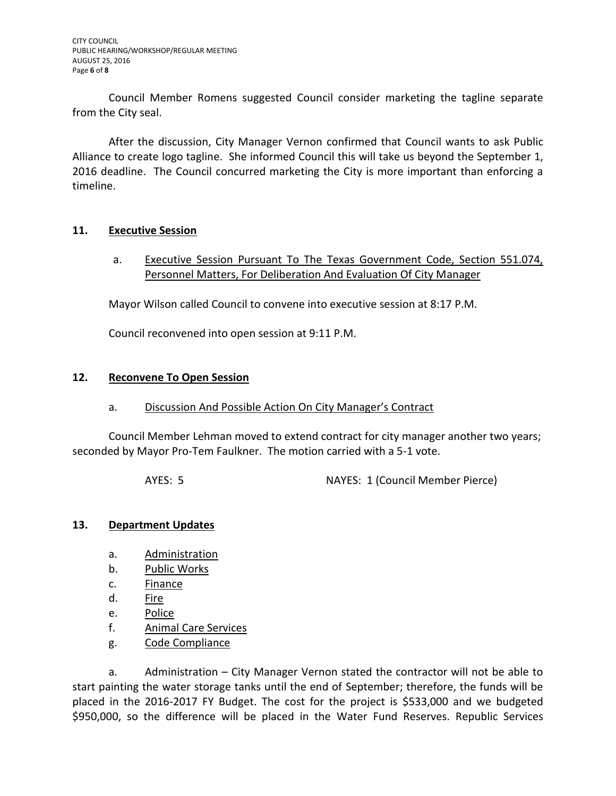Council Member Romens suggested Council consider marketing the tagline separate from the City seal.

After the discussion, City Manager Vernon confirmed that Council wants to ask Public Alliance to create logo tagline. She informed Council this will take us beyond the September 1, 2016 deadline. The Council concurred marketing the City is more important than enforcing a timeline.

### **11. Executive Session**

a. Executive Session Pursuant To The Texas Government Code, Section 551.074, Personnel Matters, For Deliberation And Evaluation Of City Manager

Mayor Wilson called Council to convene into executive session at 8:17 P.M.

Council reconvened into open session at 9:11 P.M.

### **12. Reconvene To Open Session**

#### a. Discussion And Possible Action On City Manager's Contract

Council Member Lehman moved to extend contract for city manager another two years; seconded by Mayor Pro-Tem Faulkner. The motion carried with a 5-1 vote.

AYES: 5 NAYES: 1 (Council Member Pierce)

# **13. Department Updates**

- a. Administration
- b. Public Works
- c. Finance
- d. Fire
- e. Police
- f. Animal Care Services
- g. Code Compliance

a. Administration – City Manager Vernon stated the contractor will not be able to start painting the water storage tanks until the end of September; therefore, the funds will be placed in the 2016-2017 FY Budget. The cost for the project is \$533,000 and we budgeted \$950,000, so the difference will be placed in the Water Fund Reserves. Republic Services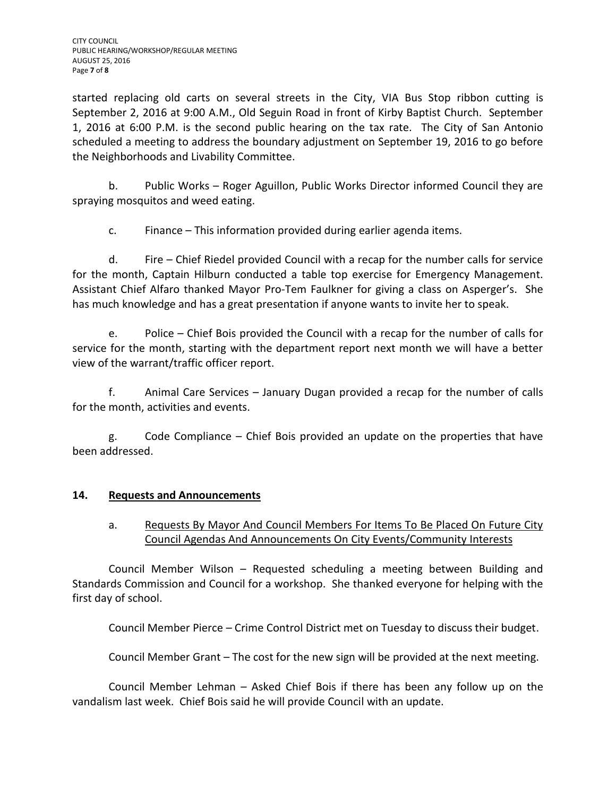started replacing old carts on several streets in the City, VIA Bus Stop ribbon cutting is September 2, 2016 at 9:00 A.M., Old Seguin Road in front of Kirby Baptist Church. September 1, 2016 at 6:00 P.M. is the second public hearing on the tax rate. The City of San Antonio scheduled a meeting to address the boundary adjustment on September 19, 2016 to go before the Neighborhoods and Livability Committee.

b. Public Works – Roger Aguillon, Public Works Director informed Council they are spraying mosquitos and weed eating.

c. Finance – This information provided during earlier agenda items.

d. Fire – Chief Riedel provided Council with a recap for the number calls for service for the month, Captain Hilburn conducted a table top exercise for Emergency Management. Assistant Chief Alfaro thanked Mayor Pro-Tem Faulkner for giving a class on Asperger's. She has much knowledge and has a great presentation if anyone wants to invite her to speak.

e. Police – Chief Bois provided the Council with a recap for the number of calls for service for the month, starting with the department report next month we will have a better view of the warrant/traffic officer report.

f. Animal Care Services – January Dugan provided a recap for the number of calls for the month, activities and events.

g. Code Compliance – Chief Bois provided an update on the properties that have been addressed.

# **14. Requests and Announcements**

# a. Requests By Mayor And Council Members For Items To Be Placed On Future City Council Agendas And Announcements On City Events/Community Interests

Council Member Wilson – Requested scheduling a meeting between Building and Standards Commission and Council for a workshop. She thanked everyone for helping with the first day of school.

Council Member Pierce – Crime Control District met on Tuesday to discuss their budget.

Council Member Grant – The cost for the new sign will be provided at the next meeting.

Council Member Lehman – Asked Chief Bois if there has been any follow up on the vandalism last week. Chief Bois said he will provide Council with an update.